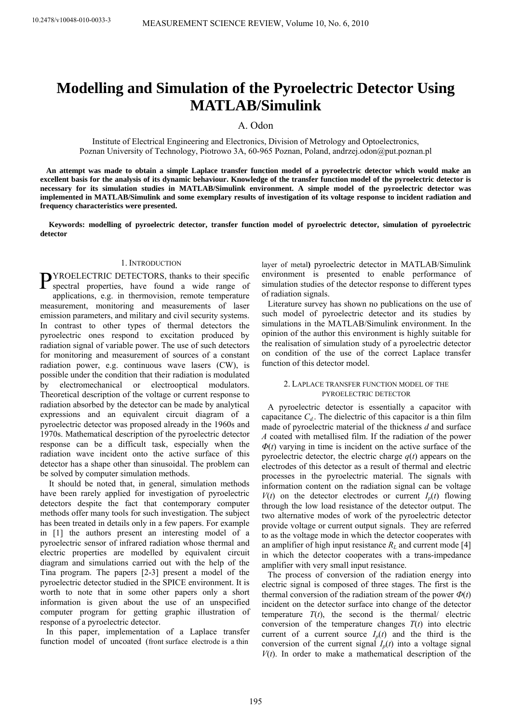# **Modelling and Simulation of the Pyroelectric Detector Using MATLAB/Simulink**

A. Odon

Institute of Electrical Engineering and Electronics, Division of Metrology and Optoelectronics, Poznan University of Technology, Piotrowo 3A, 60-965 Poznan, Poland, andrzej.odon@put.poznan.pl

**An attempt was made to obtain a simple Laplace transfer function model of a pyroelectric detector which would make an excellent basis for the analysis of its dynamic behaviour. Knowledge of the transfer function model of the pyroelectric detector is necessary for its simulation studies in MATLAB/Simulink environment. A simple model of the pyroelectric detector was implemented in MATLAB/Simulink and some exemplary results of investigation of its voltage response to incident radiation and frequency characteristics were presented.** 

**Keywords: modelling of pyroelectric detector, transfer function model of pyroelectric detector, simulation of pyroelectric detector** 

# 1. INTRODUCTION

PYROELECTRIC DETECTORS, thanks to their specific<br>spectral properties, have found a wide range of sp ectral properties, have found a wide range of ap plications, e.g. in thermovision, remote temperature measurement, monitoring and measurements of laser emission parameters, and military and civil security systems. In contrast to other types of thermal detectors the pyroelectric ones respond to excitation produced by radiation signal of variable power. The use of such detectors for monitoring and measurement of sources of a constant radiation power, e.g. continuous wave lasers (CW), is possible under the condition that their radiation is modulated by electromechanical or electrooptical modulators. Theoretical description of the voltage or current response to radiation absorbed by the detector can be made by analytical expressions and an equivalent circuit diagram of a pyroelectric detector was proposed already in the 1960s and 1970s. Mathematical description of the pyroelectric detector response can be a difficult task, especially when the radiation wave incident onto the active surface of this detector has a shape other than sinusoidal. The problem can be solved by computer simulation methods.

 It should be noted that, in general, simulation methods have been rarely applied for investigation of pyroelectric detectors despite the fact that contemporary computer methods offer many tools for such investigation. The subject has been treated in details only in a few papers. For example in [1] the authors present an interesting model of a pyroelectric sensor of infrared radiation whose thermal and electric properties are modelled by equivalent circuit diagram and simulations carried out with the help of the Tina program. The papers [2-3] present a model of the pyroelectric detector studied in the SPICE environment. It is worth to note that in some other papers only a short information is given about the use of an unspecified computer program for getting graphic illustration of response of a pyroelectric detector.

In this paper, implementation of a Laplace transfer function model of uncoated (front surface electrode is a thin

layer of metal**)** pyroelectric detector in MATLAB/Simulink environment is presented to enable performance of simulation studies of the detector response to different types of radiation signals.

Literature survey has shown no publications on the use of such model of pyroelectric detector and its studies by simulations in the MATLAB/Simulink environment. In the opinion of the author this environment is highly suitable for the realisation of simulation study of a pyroelectric detector on condition of the use of the correct Laplace transfer function of this detector model.

## 2. LAPLACE TRANSFER FUNCTION MODEL OF THE PYROELECTRIC DETECTOR

A pyroelectric detector is essentially a capacitor with capacitance  $C_d$ . The dielectric of this capacitor is a thin film made of pyroelectric material of the thickness *d* and surface *A* coated with metallised film. If the radiation of the power *Φ*(*t*) varying in time is incident on the active surface of the pyroelectric detector, the electric charge  $q(t)$  appears on the electrodes of this detector as a result of thermal and electric processes in the pyroelectric material. The signals with information content on the radiation signal can be voltage  $V(t)$  on the detector electrodes or current  $I_p(t)$  flowing through the low load resistance of the detector output. The two alternative modes of work of the pyroelectric detector provide voltage or current output signals. They are referred to as the voltage mode in which the detector cooperates with an amplifier of high input resistance  $R_L$  and current mode [4] in which the detector cooperates with a trans-impedance amplifier with very small input resistance.

The process of conversion of the radiation energy into electric signal is composed of three stages. The first is the thermal conversion of the radiation stream of the power  $\Phi(t)$ incident on the detector surface into change of the detector temperature  $T(t)$ , the second is the thermal/ electric conversion of the temperature changes  $T(t)$  into electric current of a current source  $I_n(t)$  and the third is the conversion of the current signal  $I_p(t)$  into a voltage signal  $V(t)$ . In order to make a mathematical description of the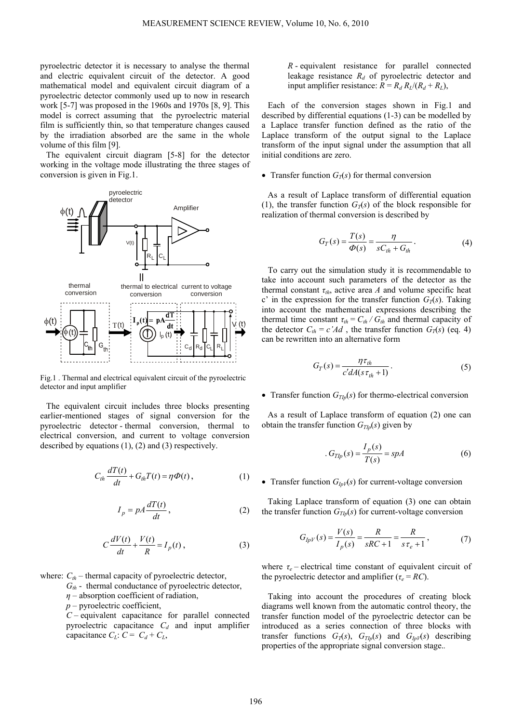pyroelectric detector it is necessary to analyse the thermal and electric equivalent circuit of the detector. A good mathematical model and equivalent circuit diagram of a pyroelectric detector commonly used up to now in research work [5-7] was proposed in the 1960s and 1970s [8, 9]. This model is correct assuming that the pyroelectric material film is sufficiently thin, so that temperature changes caused by the irradiation absorbed are the same in the whole volume of this film [9].

The equivalent circuit diagram [5-8] for the detector working in the voltage mode illustrating the three stages of conversion is given in Fig.1.



Fig.1 . Thermal and electrical equivalent circuit of the pyroelectric detector and input amplifier

The equivalent circuit includes three blocks presenting earlier-mentioned stages of signal conversion for the pyroelectric detector - thermal conversion, thermal to electrical conversion, and current to voltage conversion described by equations (1), (2) and (3) respectively.

$$
C_{th} \frac{dT(t)}{dt} + G_{th}T(t) = \eta \Phi(t), \qquad (1)
$$

$$
I_p = pA \frac{dT(t)}{dt},
$$
 (2)

$$
C\frac{dV(t)}{dt} + \frac{V(t)}{R} = I_p(t),
$$
\n(3)

where:  $C_{th}$  – thermal capacity of pyroelectric detector,

- $G_{th}$  thermal conductance of pyroelectric detector,
- *η* absorption coefficient of radiation,
- *p* pyroelectric coefficient,

*C –* equivalent capacitance for parallel connected pyroelectric capacitance  $C_d$  and input amplifier capacitance  $C_L$ :  $C = C_d + C_L$ ,

*R* - equivalent resistance for parallel connected leakage resistance  $R_d$  of pyroelectric detector and input amplifier resistance:  $R = R_d R_l/(R_d + R_l)$ ,

Each of the conversion stages shown in Fig.1 and described by differential equations (1-3) can be modelled by a Laplace transfer function defined as the ratio of the Laplace transform of the output signal to the Laplace transform of the input signal under the assumption that all initial conditions are zero.

• Transfer function  $G_T(s)$  for thermal conversion

As a result of Laplace transform of differential equation (1), the transfer function  $G_T(s)$  of the block responsible for realization of thermal conversion is described by

$$
G_T(s) = \frac{T(s)}{\Phi(s)} = \frac{\eta}{sC_{th} + G_{th}}.
$$
\n(4)

To carry out the simulation study it is recommendable to take into account such parameters of the detector as the thermal constant  $\tau_{th}$ , active area *A* and volume specific heat c' in the expression for the transfer function  $G_T(s)$ . Taking into account the mathematical expressions describing the thermal time constant  $\tau_{th} = C_{th} / G_{th}$  and thermal capacity of the detector  $C_{th} = c' A d$ , the transfer function  $G_T(s)$  (eq. 4) can be rewritten into an alternative form

$$
G_T(s) = \frac{\eta \tau_{th}}{c' dA(s \tau_{th} + 1)}.
$$
\n(5)

• Transfer function  $G_{TID}(s)$  for thermo-electrical conversion

As a result of Laplace transform of equation (2) one can obtain the transfer function  $G_{Tlp}(s)$  given by

$$
G_{Tlp}(s) = \frac{I_p(s)}{T(s)} = spA
$$
\n<sup>(6)</sup>

# • Transfer function  $G_{lpV}(s)$  for current-voltage conversion

Taking Laplace transform of equation (3) one can obtain the transfer function  $G_{Tlp}(s)$  for current-voltage conversion

$$
G_{IpV}(s) = \frac{V(s)}{I_p(s)} = \frac{R}{sRC + 1} = \frac{R}{s\tau_e + 1},
$$
 (7)

where  $\tau_e$  – electrical time constant of equivalent circuit of the pyroelectric detector and amplifier ( $\tau_e = RC$ ).

Taking into account the procedures of creating block diagrams well known from the automatic control theory, the transfer function model of the pyroelectric detector can be introduced as a series connection of three blocks with transfer functions  $G_T(s)$ ,  $G_{Tlp}(s)$  and  $G_{lp}(s)$  describing properties of the appropriate signal conversion stage.*.*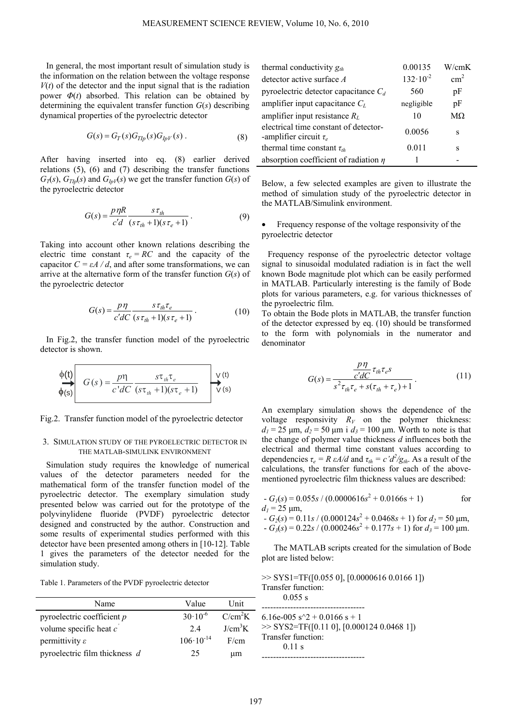In general, the most important result of simulation study is the information on the relation between the voltage response  $V(t)$  of the detector and the input signal that is the radiation power  $\Phi(t)$  absorbed. This relation can be obtained by determining the equivalent transfer function *G*(*s*) describing dynamical properties of the pyroelectric detector

$$
G(s) = G_T(s)G_{Tlp}(s)G_{lpV}(s) . \tag{8}
$$

After having inserted into eq. (8) earlier derived relations (5), (6) and (7) describing the transfer functions  $G_T(s)$ ,  $G_{Tlp}(s)$  and  $G_{lpV}(s)$  we get the transfer function  $G(s)$  of the pyroelectric detector

$$
G(s) = \frac{p \eta R}{c'd} \frac{s \tau_{th}}{(s \tau_{th} + 1)(s \tau_e + 1)}.
$$
\n(9)

Taking into account other known relations describing the electric time constant  $\tau_e = RC$  and the capacity of the capacitor  $C = \varepsilon A / d$ , and after some transformations, we can arrive at the alternative form of the transfer function *G*(*s*) of the pyroelectric detector

$$
G(s) = \frac{p\eta}{c'dC} \frac{s\tau_{th}\tau_e}{(s\tau_{th}+1)(s\tau_e+1)}.
$$
 (10)

In Fig.2, the transfer function model of the pyroelectric detector is shown.

$$
\phi(t) \qquad G(s) = \frac{p\eta}{c'dC} \frac{s\tau_{th}\tau_e}{(s\tau_{th}+1)(s\tau_e+1)} \qquad \begin{array}{|l|l|} \hline \vee(t) \\ \hline \vee(s) \end{array}
$$

Fig.2. Transfer function model of the pyroelectric detector

#### 3. SIMULATION STUDY OF THE PYROELECTRIC DETECTOR IN THE MATLAB-SIMULINK ENVIRONMENT

Simulation study requires the knowledge of numerical values of the detector parameters needed for the mathematical form of the transfer function model of the pyroelectric detector. The exemplary simulation study presented below was carried out for the prototype of the polyvinylidene fluoride (PVDF) pyroelectric detector designed and constructed by the author. Construction and some results of experimental studies performed with this detector have been presented among others in [10-12]. Table 1 gives the parameters of the detector needed for the simulation study.

|  |  | Table 1. Parameters of the PVDF pyroelectric detector |
|--|--|-------------------------------------------------------|
|  |  |                                                       |

| Name                          | Value                | Unit                |
|-------------------------------|----------------------|---------------------|
| pyroelectric coefficient $p$  | $30 \cdot 10^{-6}$   | C/cm <sup>2</sup> K |
| volume specific heat c        | 24                   | J/cm <sup>3</sup> K |
| permittivity $\varepsilon$    | $106 \cdot 10^{-14}$ | F/cm                |
| pyroelectric film thickness d | 25                   | иm                  |

| thermal conductivity $g_{th}$                                        | 0.00135             | W/cmK         |
|----------------------------------------------------------------------|---------------------|---------------|
| detector active surface A                                            | $132 \cdot 10^{-2}$ | $\text{cm}^2$ |
| pyroelectric detector capacitance $C_d$                              | 560                 | pF            |
| amplifier input capacitance $C_L$                                    | negligible          | pF            |
| amplifier input resistance $R_L$                                     | 10                  | $M\Omega$     |
| electrical time constant of detector-<br>-amplifier circuit $\tau_e$ | 0.0056              | s             |
| thermal time constant $\tau_{th}$                                    | 0.011               | S             |
| absorption coefficient of radiation $\eta$                           |                     |               |

Below, a few selected examples are given to illustrate the method of simulation study of the pyroelectric detector in the MATLAB/Simulink environment.

Frequency response of the voltage responsivity of the pyroelectric detector

Frequency response of the pyroelectric detector voltage signal to sinusoidal modulated radiation is in fact the well known Bode magnitude plot which can be easily performed in MATLAB. Particularly interesting is the family of Bode plots for various parameters, e.g. for various thicknesses of the pyroelectric film.

To obtain the Bode plots in MATLAB, the transfer function of the detector expressed by eq. (10) should be transformed to the form with polynomials in the numerator and denominator

$$
G(s) = \frac{\frac{p\eta}{c'dC}\tau_{th}\tau_e s}{s^2\tau_{th}\tau_e + s(\tau_{th} + \tau_e) + 1}.
$$
 (11)

An exemplary simulation shows the dependence of the voltage responsivity  $R_V$  on the polymer thickness:  $d_1 = 25 \mu m$ ,  $d_2 = 50 \mu m$  i  $d_3 = 100 \mu m$ . Worth to note is that the change of polymer value thickness *d* influences both the electrical and thermal time constant values according to dependencies  $\tau_e = R \epsilon A/d$  and  $\tau_{th} = c' d^2/g_{th}$ . As a result of the calculations, the transfer functions for each of the abovementioned pyroelectric film thickness values are described:

$$
G_I(s) = 0.055s / (0.0000616s^2 + 0.0166s + 1)
$$
 for  
  $d_I = 25 \text{ }\mu\text{m}$ ,

 $-G_2(s) = 0.11s / (0.000124s^2 + 0.0468s + 1)$  for  $d_2 = 50 \text{ }\mu\text{m}$ ,  $-G_3(s) = 0.22s / (0.000246s^2 + 0.177s + 1)$  for  $d_3 = 100 \text{ }\mu\text{m}$ .

The MATLAB scripts created for the simulation of Bode plot are listed below:

 $\gg$  SYS1=TF([0.055 0], [0.0000616 0.0166 1]) Transfer function: 0.055 s ------------------------------------ 6.16e-005  $s^2 + 0.0166 s + 1$ >> SYS2=TF([0.11 0], [0.000124 0.0468 1]) Transfer function: 0.11 s ------------------------------------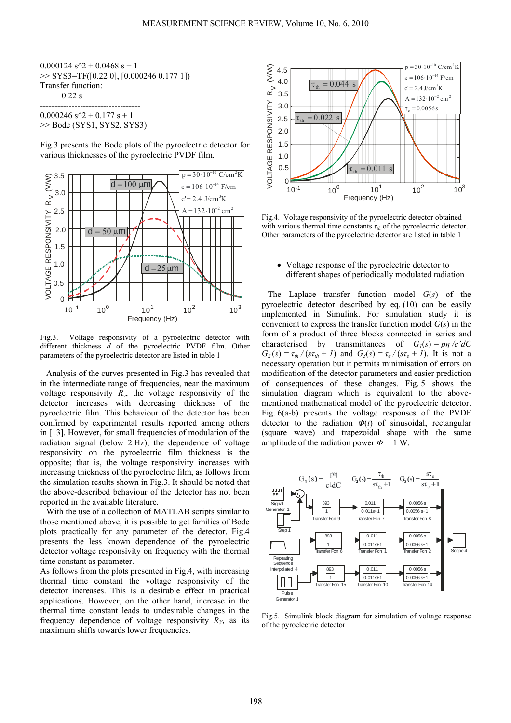$0.000124 s^2 + 0.0468 s + 1$ >> SYS3=TF([0.22 0], [0.000246 0.177 1]) Transfer function: 0.22 s -----------------------------------

 $0.000246$  s<sup> $\gamma$ </sup>2 + 0.177 s + 1 >> Bode (SYS1, SYS2, SYS3)

Fig.3 presents the Bode plots of the pyroelectric detector for various thicknesses of the pyroelectric PVDF film.



Fig.3. Voltage responsivity of a pyroelectric detector with different thickness *d* of the pyroelectric PVDF film. Other parameters of the pyroelectric detector are listed in table 1

Analysis of the curves presented in Fig.3 has revealed that in the intermediate range of frequencies, near the maximum voltage responsivity  $R<sub>v</sub>$ , the voltage responsivity of the detector increases with decreasing thickness of the pyroelectric film. This behaviour of the detector has been confirmed by experimental results reported among others in [13]. However, for small frequencies of modulation of the radiation signal (below 2 Hz), the dependence of voltage responsivity on the pyroelectric film thickness is the opposite; that is, the voltage responsivity increases with increasing thickness of the pyroelectric film, as follows from the simulation results shown in Fig.3. It should be noted that the above-described behaviour of the detector has not been reported in the available literature.

With the use of a collection of MATLAB scripts similar to those mentioned above, it is possible to get families of Bode plots practically for any parameter of the detector. Fig.4 presents the less known dependence of the pyroelectric detector voltage responsivity on frequency with the thermal time constant as parameter.

As follows from the plots presented in Fig.4, with increasing thermal time constant the voltage responsivity of the detector increases. This is a desirable effect in practical applications. However, on the other hand, increase in the thermal time constant leads to undesirable changes in the frequency dependence of voltage responsivity  $R_V$ , as its maximum shifts towards lower frequencies.



Fig.4. Voltage responsivity of the pyroelectric detector obtained with various thermal time constants  $\tau_{th}$  of the pyroelectric detector. Other parameters of the pyroelectric detector are listed in table 1

• Voltage response of the pyroelectric detector to different shapes of periodically modulated radiation

The Laplace transfer function model *G*(*s*) of the pyroelectric detector described by eq. (10) can be easily implemented in Simulink. For simulation study it is convenient to express the transfer function model *G*(*s*) in the form of a product of three blocks connected in series and characterised by transmittances of  $G_1(s) = p\eta/c' dC$  $G_2(s) = \tau_{th}/(s\tau_{th} + 1)$  and  $G_3(s) = \tau_{e}/(s\tau_{e} + 1)$ . It is not a necessary operation but it permits minimisation of errors on modification of the detector parameters and easier prediction of consequences of these changes. Fig. 5 shows the simulation diagram which is equivalent to the abovementioned mathematical model of the pyroelectric detector. Fig. 6(a-b) presents the voltage responses of the PVDF detector to the radiation *Φ*(*t*) of sinusoidal, rectangular (square wave) and trapezoidal shape with the same amplitude of the radiation power  $\Phi = 1$  W.



Fig.5. Simulink block diagram for simulation of voltage response of the pyroelectric detector